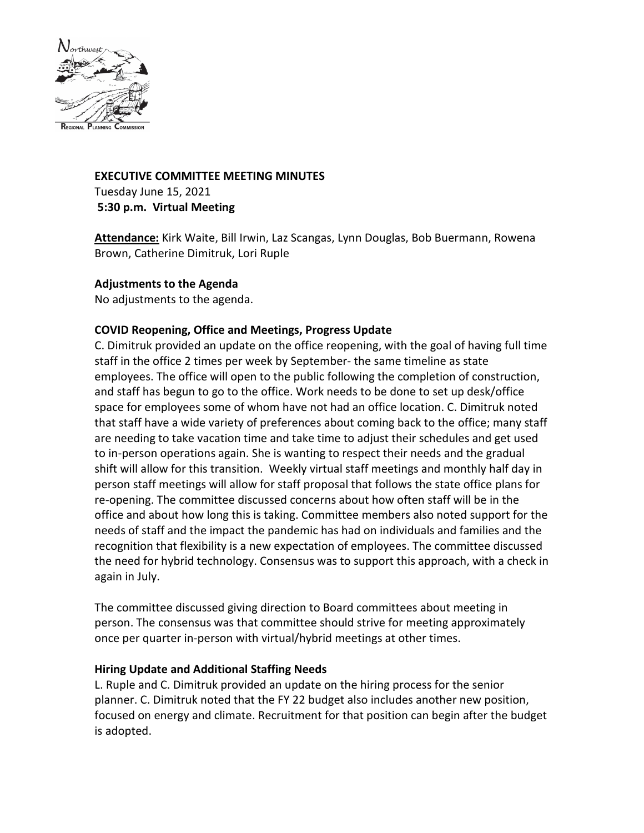

# **EXECUTIVE COMMITTEE MEETING MINUTES** Tuesday June 15, 2021 **5:30 p.m. Virtual Meeting**

**Attendance:** Kirk Waite, Bill Irwin, Laz Scangas, Lynn Douglas, Bob Buermann, Rowena Brown, Catherine Dimitruk, Lori Ruple

# **Adjustments to the Agenda**

No adjustments to the agenda.

# **COVID Reopening, Office and Meetings, Progress Update**

C. Dimitruk provided an update on the office reopening, with the goal of having full time staff in the office 2 times per week by September- the same timeline as state employees. The office will open to the public following the completion of construction, and staff has begun to go to the office. Work needs to be done to set up desk/office space for employees some of whom have not had an office location. C. Dimitruk noted that staff have a wide variety of preferences about coming back to the office; many staff are needing to take vacation time and take time to adjust their schedules and get used to in-person operations again. She is wanting to respect their needs and the gradual shift will allow for this transition. Weekly virtual staff meetings and monthly half day in person staff meetings will allow for staff proposal that follows the state office plans for re-opening. The committee discussed concerns about how often staff will be in the office and about how long this is taking. Committee members also noted support for the needs of staff and the impact the pandemic has had on individuals and families and the recognition that flexibility is a new expectation of employees. The committee discussed the need for hybrid technology. Consensus was to support this approach, with a check in again in July.

The committee discussed giving direction to Board committees about meeting in person. The consensus was that committee should strive for meeting approximately once per quarter in-person with virtual/hybrid meetings at other times.

## **Hiring Update and Additional Staffing Needs**

L. Ruple and C. Dimitruk provided an update on the hiring process for the senior planner. C. Dimitruk noted that the FY 22 budget also includes another new position, focused on energy and climate. Recruitment for that position can begin after the budget is adopted.